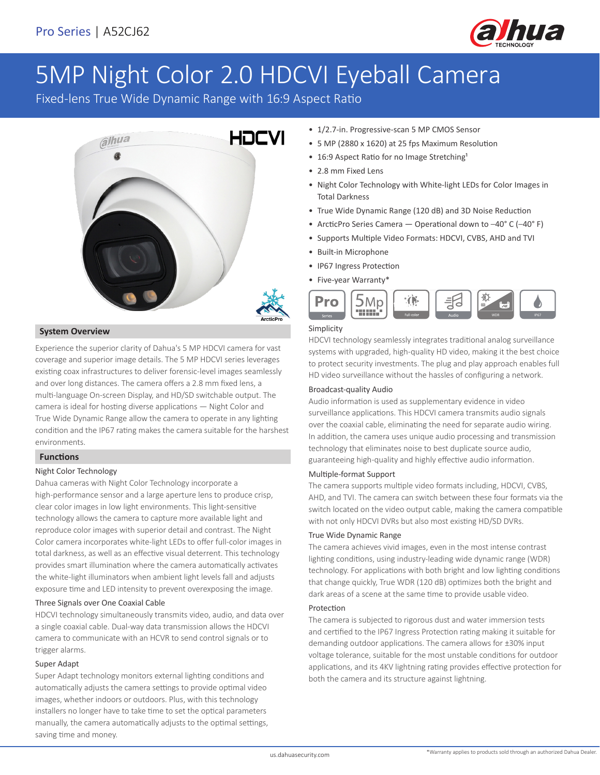

# 5MP Night Color 2.0 HDCVI Eyeball Camera

Fixed-lens True Wide Dynamic Range with 16:9 Aspect Ratio



# **System Overview**

Experience the superior clarity of Dahua's 5 MP HDCVI camera for vast coverage and superior image details. The 5 MP HDCVI series leverages existing coax infrastructures to deliver forensic-level images seamlessly and over long distances. The camera offers a 2.8 mm fixed lens, a multi-language On-screen Display, and HD/SD switchable output. The camera is ideal for hosting diverse applications — Night Color and True Wide Dynamic Range allow the camera to operate in any lighting condition and the IP67 rating makes the camera suitable for the harshest environments.

# **Functions**

# Night Color Technology

Dahua cameras with Night Color Technology incorporate a high-performance sensor and a large aperture lens to produce crisp, clear color images in low light environments. This light-sensitive technology allows the camera to capture more available light and reproduce color images with superior detail and contrast. The Night Color camera incorporates white-light LEDs to offer full-color images in total darkness, as well as an effective visual deterrent. This technology provides smart illumination where the camera automatically activates the white-light illuminators when ambient light levels fall and adjusts exposure time and LED intensity to prevent overexposing the image.

# Three Signals over One Coaxial Cable

HDCVI technology simultaneously transmits video, audio, and data over a single coaxial cable. Dual-way data transmission allows the HDCVI camera to communicate with an HCVR to send control signals or to trigger alarms.

#### Super Adapt

Super Adapt technology monitors external lighting conditions and automatically adjusts the camera settings to provide optimal video images, whether indoors or outdoors. Plus, with this technology installers no longer have to take time to set the optical parameters manually, the camera automatically adjusts to the optimal settings, saving time and money.

- 1/2.7-in. Progressive-scan 5 MP CMOS Sensor
- 5 MP (2880 x 1620) at 25 fps Maximum Resolution
- 16:9 Aspect Ratio for no Image Stretching<sup>1</sup>
- 2.8 mm Fixed Lens
- Night Color Technology with White-light LEDs for Color Images in Total Darkness
- True Wide Dynamic Range (120 dB) and 3D Noise Reduction
- ArcticPro Series Camera Operational down to –40° C (–40° F)
- Supports Multiple Video Formats: HDCVI, CVBS, AHD and TVI
- Built-in Microphone
- IP67 Ingress Protection
- Five-year Warranty\*



# Simplicity

HDCVI technology seamlessly integrates traditional analog surveillance systems with upgraded, high-quality HD video, making it the best choice to protect security investments. The plug and play approach enables full HD video surveillance without the hassles of configuring a network.

## Broadcast-quality Audio

Audio information is used as supplementary evidence in video surveillance applications. This HDCVI camera transmits audio signals over the coaxial cable, eliminating the need for separate audio wiring. In addition, the camera uses unique audio processing and transmission technology that eliminates noise to best duplicate source audio, guaranteeing high-quality and highly effective audio information.

#### Multiple-format Support

The camera supports multiple video formats including, HDCVI, CVBS, AHD, and TVI. The camera can switch between these four formats via the switch located on the video output cable, making the camera compatible with not only HDCVI DVRs but also most existing HD/SD DVRs.

#### True Wide Dynamic Range

The camera achieves vivid images, even in the most intense contrast lighting conditions, using industry-leading wide dynamic range (WDR) technology. For applications with both bright and low lighting conditions that change quickly, True WDR (120 dB) optimizes both the bright and dark areas of a scene at the same time to provide usable video.

# Protection

The camera is subjected to rigorous dust and water immersion tests and certified to the IP67 Ingress Protection rating making it suitable for demanding outdoor applications. The camera allows for ±30% input voltage tolerance, suitable for the most unstable conditions for outdoor applications, and its 4KV lightning rating provides effective protection for both the camera and its structure against lightning.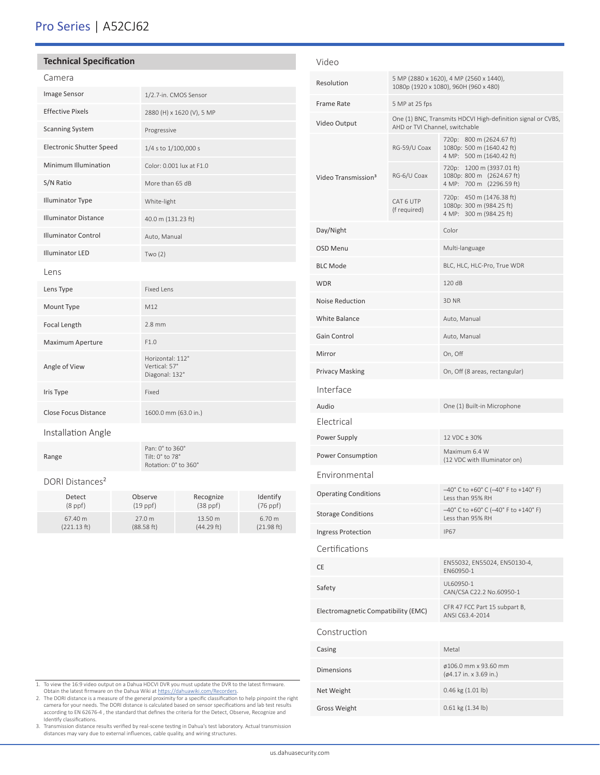# Pro Series | A52CJ62

67.40 m (221.13 ft)

| <b>Technical Specification</b>  |                     |                                                     |                           |                      |  |  |
|---------------------------------|---------------------|-----------------------------------------------------|---------------------------|----------------------|--|--|
| Camera                          |                     |                                                     |                           |                      |  |  |
| Image Sensor                    |                     |                                                     | 1/2.7-in. CMOS Sensor     |                      |  |  |
| <b>Effective Pixels</b>         |                     |                                                     | 2880 (H) x 1620 (V), 5 MP |                      |  |  |
| <b>Scanning System</b>          |                     | Progressive                                         |                           |                      |  |  |
| <b>Electronic Shutter Speed</b> |                     | 1/4 s to 1/100,000 s                                |                           |                      |  |  |
| Minimum Illumination            |                     | Color: 0.001 lux at F1.0                            |                           |                      |  |  |
| S/N Ratio                       |                     | More than 65 dB                                     |                           |                      |  |  |
| <b>Illuminator Type</b>         |                     | White-light                                         |                           |                      |  |  |
| <b>Illuminator Distance</b>     |                     | 40.0 m (131.23 ft)                                  |                           |                      |  |  |
| <b>Illuminator Control</b>      |                     | Auto, Manual                                        |                           |                      |  |  |
| <b>Illuminator LED</b>          |                     | Two $(2)$                                           |                           |                      |  |  |
| Lens                            |                     |                                                     |                           |                      |  |  |
| Lens Type                       |                     | <b>Fixed Lens</b>                                   |                           |                      |  |  |
| Mount Type                      |                     | M12                                                 |                           |                      |  |  |
| Focal Length                    |                     | $2.8$ mm                                            |                           |                      |  |  |
| Maximum Aperture                |                     | F1.0                                                |                           |                      |  |  |
| Angle of View                   |                     | Horizontal: 112°<br>Vertical: 57°<br>Diagonal: 132° |                           |                      |  |  |
| Iris Type                       |                     | Fixed                                               |                           |                      |  |  |
| <b>Close Focus Distance</b>     |                     |                                                     | 1600.0 mm (63.0 in.)      |                      |  |  |
| Installation Angle              |                     |                                                     |                           |                      |  |  |
| Range                           |                     | Pan: 0° to 360°<br>Tilt: 0° to 78°                  | Rotation: 0° to 360°      |                      |  |  |
| DORI Distances <sup>2</sup>     |                     |                                                     |                           |                      |  |  |
| Detect<br>$(8$ ppf $)$          | Observe<br>(19 ppf) |                                                     | Recognize<br>$(38$ ppf)   | Identify<br>(76 ppf) |  |  |

| Video                               |                                                                                                |                                                                                    |  |
|-------------------------------------|------------------------------------------------------------------------------------------------|------------------------------------------------------------------------------------|--|
| Resolution                          | 5 MP (2880 x 1620), 4 MP (2560 x 1440),<br>1080p (1920 x 1080), 960H (960 x 480)               |                                                                                    |  |
| <b>Frame Rate</b>                   | 5 MP at 25 fps                                                                                 |                                                                                    |  |
| Video Output                        | One (1) BNC, Transmits HDCVI High-definition signal or CVBS,<br>AHD or TVI Channel, switchable |                                                                                    |  |
| Video Transmission <sup>3</sup>     | RG-59/U Coax                                                                                   | 720p: 800 m (2624.67 ft)<br>1080p: 500 m (1640.42 ft)<br>4 MP: 500 m (1640.42 ft)  |  |
|                                     | RG-6/U Coax                                                                                    | 720p: 1200 m (3937.01 ft)<br>1080p: 800 m (2624.67 ft)<br>4 MP: 700 m (2296.59 ft) |  |
|                                     | CAT 6 UTP<br>(f required)                                                                      | 720p: 450 m (1476.38 ft)<br>1080p: 300 m (984.25 ft)<br>4 MP: 300 m (984.25 ft)    |  |
| Day/Night                           |                                                                                                | Color                                                                              |  |
| OSD Menu                            |                                                                                                | Multi-language                                                                     |  |
| <b>BLC Mode</b>                     |                                                                                                | BLC, HLC, HLC-Pro, True WDR                                                        |  |
| <b>WDR</b>                          |                                                                                                | 120 dB                                                                             |  |
| <b>Noise Reduction</b>              |                                                                                                | 3D <sub>NR</sub>                                                                   |  |
| White Balance                       |                                                                                                | Auto, Manual                                                                       |  |
| Gain Control                        |                                                                                                | Auto, Manual                                                                       |  |
| Mirror                              |                                                                                                | On, Off                                                                            |  |
| <b>Privacy Masking</b>              |                                                                                                | On, Off (8 areas, rectangular)                                                     |  |
| Interface                           |                                                                                                |                                                                                    |  |
| Audio                               |                                                                                                | One (1) Built-in Microphone                                                        |  |
| Electrical                          |                                                                                                |                                                                                    |  |
| Power Supply                        |                                                                                                | 12 VDC ± 30%                                                                       |  |
| Power Consumption                   |                                                                                                | Maximum 6.4 W<br>(12 VDC with Illuminator on)                                      |  |
| Environmental                       |                                                                                                |                                                                                    |  |
| <b>Operating Conditions</b>         |                                                                                                | $-40^{\circ}$ C to +60° C (-40° F to +140° F)<br>Less than 95% RH                  |  |
| <b>Storage Conditions</b>           |                                                                                                | -40° C to +60° C (-40° F to +140° F)<br>Less than 95% RH                           |  |
| <b>Ingress Protection</b>           |                                                                                                | <b>IP67</b>                                                                        |  |
| Certifications                      |                                                                                                |                                                                                    |  |
| СE                                  |                                                                                                | EN55032, EN55024, EN50130-4,<br>EN60950-1                                          |  |
| Safety                              |                                                                                                | UL60950-1<br>CAN/CSA C22.2 No.60950-1                                              |  |
| Electromagnetic Compatibility (EMC) |                                                                                                | CFR 47 FCC Part 15 subpart B,<br>ANSI C63.4-2014                                   |  |
| Construction                        |                                                                                                |                                                                                    |  |
| Casing                              |                                                                                                | Metal                                                                              |  |
| <b>Dimensions</b>                   |                                                                                                | ø106.0 mm x 93.60 mm<br>(ø4.17 in. x 3.69 in.)                                     |  |
| Net Weight                          |                                                                                                | 0.46 kg (1.01 lb)                                                                  |  |
| <b>Gross Weight</b>                 |                                                                                                | 0.61 kg (1.34 lb)                                                                  |  |

1. To view the 16:9 video output on a Dahua HDCVI DVR you must update the DVR to the latest firmware.

27.0 m (88.58 ft) 13.50 m (44.29 ft)

6.70 m (21.98 ft)

Obtain the latest firmware on the Dahua Wiki at https://dahuawiki.com/Recorders.<br>2. The DORI distance is a measure of the general proximity for a specific classification to help pinpoint the right<br>camera for your needs. Th Identify classifications.

3. Transmission distance results verified by real-scene testing in Dahua's test laboratory. Actual transmission distances may vary due to external influences, cable quality, and wiring structures.